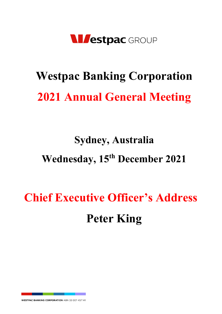

# **Westpac Banking Corporation 2021 Annual General Meeting**

### **Sydney, Australia Wednesday, 15th December 2021**

## **Chief Executive Officer's Address Peter King**

WESTPAC BANKING CORPORATION ABN 33 007 457 141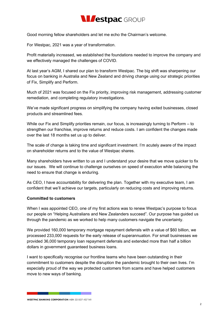

Good morning fellow shareholders and let me echo the Chairman's welcome.

For Westpac, 2021 was a year of transformation.

Profit materially increased, we established the foundations needed to improve the company and we effectively managed the challenges of COVID.

At last year's AGM, I shared our plan to transform Westpac. The big shift was sharpening our focus on banking in Australia and New Zealand and driving change using our strategic priorities of Fix, Simplify and Perform.

Much of 2021 was focused on the Fix priority, improving risk management, addressing customer remediation, and completing regulatory investigations.

We've made significant progress on simplifying the company having exited businesses, closed products and streamlined fees.

While our Fix and Simplify priorities remain, our focus, is increasingly turning to Perform – to strengthen our franchise, improve returns and reduce costs. I am confident the changes made over the last 18 months set us up to deliver.

The scale of change is taking time and significant investment. I'm acutely aware of the impact on shareholder returns and to the value of Westpac shares.

Many shareholders have written to us and I understand your desire that we move quicker to fix our issues. We will continue to challenge ourselves on speed of execution while balancing the need to ensure that change is enduring.

As CEO, I have accountability for delivering the plan. Together with my executive team, I am confident that we'll achieve our targets, particularly on reducing costs and improving returns.

#### **Committed to customers**

When I was appointed CEO, one of my first actions was to renew Westpac's purpose to focus our people on "Helping Australians and New Zealanders succeed". Our purpose has guided us through the pandemic as we worked to help many customers navigate the uncertainty.

We provided 160,000 temporary mortgage repayment deferrals with a value of \$60 billion, we processed 233,000 requests for the early release of superannuation. For small businesses we provided 36,000 temporary loan repayment deferrals and extended more than half a billion dollars in government guaranteed business loans.

I want to specifically recognise our frontline teams who have been outstanding in their commitment to customers despite the disruption the pandemic brought to their own lives. I'm especially proud of the way we protected customers from scams and have helped customers move to new ways of banking.

**WESTPAC BANKING CORPORATION ABN 33 007 457 141**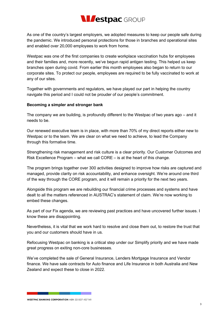

As one of the country's largest employers, we adopted measures to keep our people safe during the pandemic. We introduced personal protections for those in branches and operational sites and enabled over 20,000 employees to work from home.

Westpac was one of the first companies to create workplace vaccination hubs for employees and their families and, more recently, we've begun rapid antigen testing. This helped us keep branches open during covid. From earlier this month employees also began to return to our corporate sites. To protect our people, employees are required to be fully vaccinated to work at any of our sites.

Together with governments and regulators, we have played our part in helping the country navigate this period and I could not be prouder of our people's commitment.

#### **Becoming a simpler and stronger bank**

The company we are building, is profoundly different to the Westpac of two years ago – and it needs to be.

Our renewed executive team is in place, with more than 70% of my direct reports either new to Westpac or to the team. We are clear on what we need to achieve, to lead the Company through this formative time.

Strengthening risk management and risk culture is a clear priority. Our Customer Outcomes and Risk Excellence Program – what we call CORE – is at the heart of this change.

The program brings together over 300 activities designed to improve how risks are captured and managed, provide clarity on risk accountability, and enhance oversight. We're around one third of the way through the CORE program, and it will remain a priority for the next two years.

Alongside this program we are rebuilding our financial crime processes and systems and have dealt to all the matters referenced in AUSTRAC's statement of claim. We're now working to embed these changes.

As part of our Fix agenda, we are reviewing past practices and have uncovered further issues. I know these are disappointing.

Nevertheless, it is vital that we work hard to resolve and close them out, to restore the trust that you and our customers should have in us.

Refocusing Westpac on banking is a critical step under our Simplify priority and we have made great progress on exiting non-core businesses.

We've completed the sale of General Insurance, Lenders Mortgage Insurance and Vendor finance. We have sale contracts for Auto finance and Life Insurance in both Australia and New Zealand and expect these to close in 2022.

**WESTPAC BANKING CORPORATION ABN 33 007 457 141**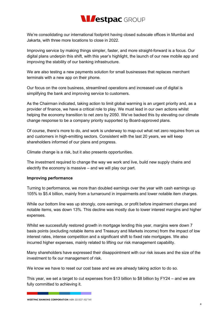

We're consolidating our international footprint having closed subscale offices in Mumbai and Jakarta, with three more locations to close in 2022.

Improving service by making things simpler, faster, and more straight-forward is a focus. Our digital plans underpin this shift, with this year's highlight, the launch of our new mobile app and improving the stability of our banking infrastructure.

We are also testing a new payments solution for small businesses that replaces merchant terminals with a new app on their phone.

Our focus on the core business, streamlined operations and increased use of digital is simplifying the bank and improving service to customers.

As the Chairman indicated, taking action to limit global warming is an urgent priority and, as a provider of finance, we have a critical role to play. We must lead in our own actions whilst helping the economy transition to net zero by 2050. We've backed this by elevating our climate change response to be a company priority supported by Board-approved plans.

Of course, there's more to do, and work is underway to map-out what net zero requires from us and customers in high-emitting sectors. Consistent with the last 20 years, we will keep shareholders informed of our plans and progress.

Climate change is a risk, but it also presents opportunities.

The investment required to change the way we work and live, build new supply chains and electrify the economy is massive – and we will play our part.

#### **Improving performance**

Turning to performance, we more than doubled earnings over the year with cash earnings up 105% to \$5.4 billion, mainly from a turnaround in impairments and lower notable item charges.

While our bottom line was up strongly, core earnings, or profit before impairment charges and notable items, was down 13%. This decline was mostly due to lower interest margins and higher expenses.

Whilst we successfully restored growth in mortgage lending this year, margins were down 7 basis points (excluding notable items and Treasury and Markets income) from the impact of low interest rates, intense competition and a significant shift to fixed rate mortgages. We also incurred higher expenses, mainly related to lifting our risk management capability.

Many shareholders have expressed their disappointment with our risk issues and the size of the investment to fix our management of risk.

We know we have to reset our cost base and we are already taking action to do so.

This year, we set a target to cut expenses from \$13 billion to \$8 billion by FY24 – and we are fully committed to achieving it.

**WESTPAC BANKING CORPORATION ABN 33 007 457 141**